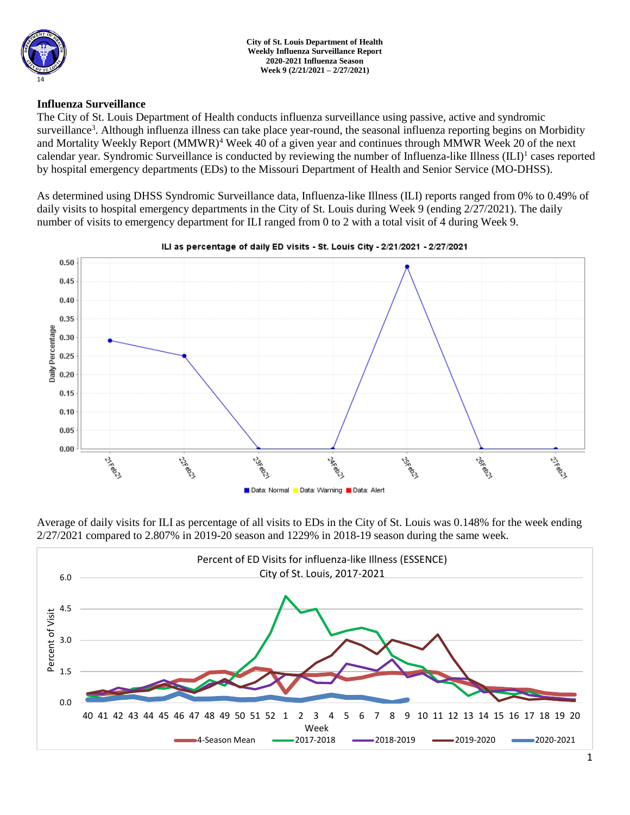

**City of St. Louis Department of Health Weekly Influenza Surveillance Report 2020-2021 Influenza Season Week 9 (2/21/2021 – 2/27/2021)**

### **Influenza Surveillance**

The City of St. Louis Department of Health conducts influenza surveillance using passive, active and syndromic surveillance<sup>3</sup>. Although influenza illness can take place year-round, the seasonal influenza reporting begins on Morbidity and Mortality Weekly Report (MMWR)<sup>4</sup> Week 40 of a given year and continues through MMWR Week 20 of the next calendar year. Syndromic Surveillance is conducted by reviewing the number of Influenza-like Illness (ILI)<sup>1</sup> cases reported by hospital emergency departments (EDs) to the Missouri Department of Health and Senior Service (MO-DHSS).

As determined using DHSS Syndromic Surveillance data, Influenza-like Illness (ILI) reports ranged from 0% to 0.49% of daily visits to hospital emergency departments in the City of St. Louis during Week 9 (ending 2/27/2021). The daily number of visits to emergency department for ILI ranged from 0 to 2 with a total visit of 4 during Week 9.



ILI as percentage of daily ED visits - St. Louis City - 2/21/2021 - 2/27/2021

Average of daily visits for ILI as percentage of all visits to EDs in the City of St. Louis was 0.148% for the week ending 2/27/2021 compared to 2.807% in 2019-20 season and 1229% in 2018-19 season during the same week.

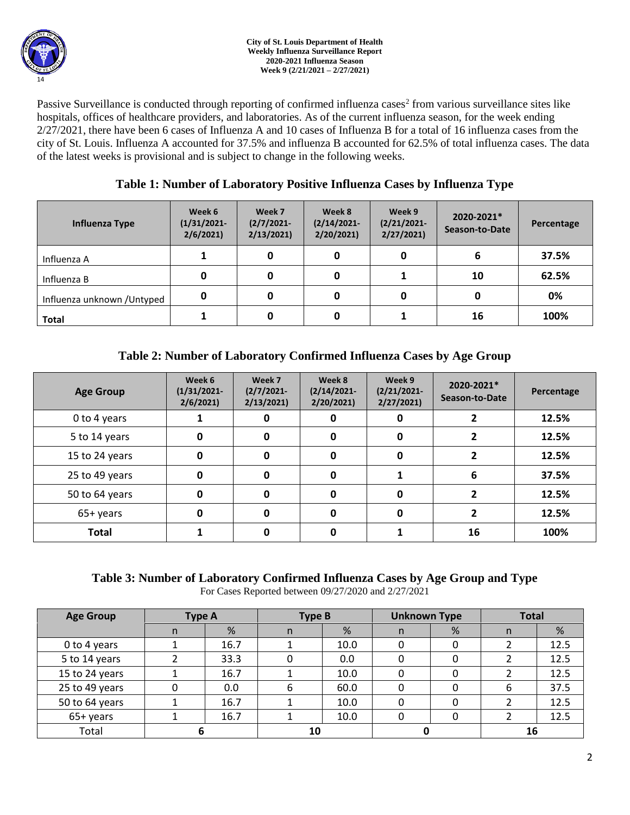Passive Surveillance is conducted through reporting of confirmed influenza cases<sup>2</sup> from various surveillance sites like hospitals, offices of healthcare providers, and laboratories. As of the current influenza season, for the week ending 2/27/2021, there have been 6 cases of Influenza A and 10 cases of Influenza B for a total of 16 influenza cases from the city of St. Louis. Influenza A accounted for 37.5% and influenza B accounted for 62.5% of total influenza cases. The data of the latest weeks is provisional and is subject to change in the following weeks.

# **Table 1: Number of Laboratory Positive Influenza Cases by Influenza Type**

| Influenza Type              | Week 6<br>$(1/31/2021 -$<br>2/6/2021 | Week 7<br>$(2/7/2021 -$<br>2/13/2021 | Week 8<br>$(2/14/2021 -$<br>2/20/2021 | Week 9<br>$(2/21/2021 -$<br>2/27/2021 | 2020-2021*<br>Season-to-Date | Percentage |
|-----------------------------|--------------------------------------|--------------------------------------|---------------------------------------|---------------------------------------|------------------------------|------------|
| Influenza A                 |                                      | 0                                    | 0                                     |                                       | 6                            | 37.5%      |
| Influenza B                 | 0                                    |                                      | 0                                     |                                       | 10                           | 62.5%      |
| Influenza unknown / Untyped | 0                                    |                                      | 0                                     |                                       | 0                            | 0%         |
| <b>Total</b>                |                                      |                                      | 0                                     |                                       | 16                           | 100%       |

# **Table 2: Number of Laboratory Confirmed Influenza Cases by Age Group**

| <b>Age Group</b> | Week 6<br>$(1/31/2021 -$<br>2/6/2021 | Week 7<br>$(2/7/2021 -$<br>2/13/2021 | Week 8<br>$(2/14/2021 -$<br>2/20/2021 | Week 9<br>$(2/21/2021 -$<br>2/27/2021 | 2020-2021*<br>Season-to-Date | Percentage |
|------------------|--------------------------------------|--------------------------------------|---------------------------------------|---------------------------------------|------------------------------|------------|
| 0 to 4 years     |                                      | 0                                    | 0                                     | 0                                     |                              | 12.5%      |
| 5 to 14 years    | 0                                    | 0                                    | $\mathbf{0}$                          | 0                                     |                              | 12.5%      |
| 15 to 24 years   | 0                                    | 0                                    | $\mathbf{0}$                          | 0                                     | 2                            | 12.5%      |
| 25 to 49 years   | 0                                    | 0                                    | 0                                     |                                       | 6                            | 37.5%      |
| 50 to 64 years   | 0                                    |                                      | $\Omega$                              | 0                                     | ר                            | 12.5%      |
| 65+ years        | 0                                    | O                                    | $\Omega$                              | 0                                     |                              | 12.5%      |
| <b>Total</b>     |                                      |                                      |                                       |                                       | 16                           | 100%       |

# **Table 3: Number of Laboratory Confirmed Influenza Cases by Age Group and Type**

For Cases Reported between 09/27/2020 and 2/27/2021

| <b>Age Group</b> | Type A |      | <b>Type B</b> |      | <b>Unknown Type</b> |   | <b>Total</b> |      |
|------------------|--------|------|---------------|------|---------------------|---|--------------|------|
|                  | n      | %    | n             | %    | n                   | % | n            | %    |
| 0 to 4 years     |        | 16.7 |               | 10.0 |                     |   |              | 12.5 |
| 5 to 14 years    |        | 33.3 |               | 0.0  |                     |   |              | 12.5 |
| 15 to 24 years   |        | 16.7 |               | 10.0 |                     |   |              | 12.5 |
| 25 to 49 years   | 0      | 0.0  | 6             | 60.0 |                     |   | 6            | 37.5 |
| 50 to 64 years   |        | 16.7 |               | 10.0 | 0                   |   |              | 12.5 |
| 65+ years        |        | 16.7 |               | 10.0 |                     |   |              | 12.5 |
| Total            |        |      | 10            |      |                     |   | 16           |      |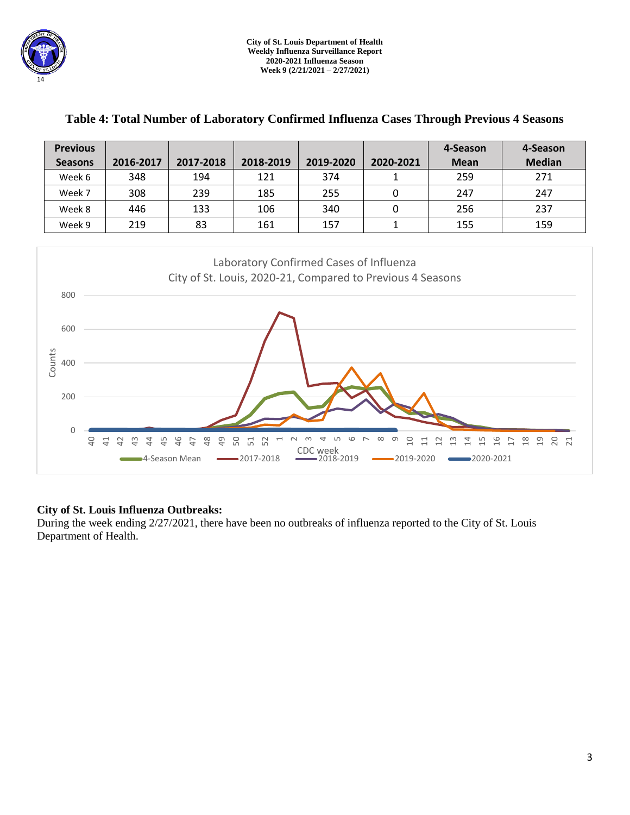| <b>Previous</b><br><b>Seasons</b>                                   | 2016-2017                                                                                                                                                                                                                                                                                                                                                                                 | 2017-2018 | 2018-2019 | 2019-2020 | 2020-2021    | 4-Season<br><b>Mean</b> | 4-Season<br><b>Median</b> |  |  |  |  |
|---------------------------------------------------------------------|-------------------------------------------------------------------------------------------------------------------------------------------------------------------------------------------------------------------------------------------------------------------------------------------------------------------------------------------------------------------------------------------|-----------|-----------|-----------|--------------|-------------------------|---------------------------|--|--|--|--|
| Week 6                                                              | 348                                                                                                                                                                                                                                                                                                                                                                                       | 194       | 121       | 374       | 1            | 259                     | 271                       |  |  |  |  |
| Week 7                                                              | 308                                                                                                                                                                                                                                                                                                                                                                                       | 239       | 185       | 255       | $\pmb{0}$    | 247                     | 247                       |  |  |  |  |
| Week 8                                                              | 446                                                                                                                                                                                                                                                                                                                                                                                       | 133       | 106       | 340       | $\mathbf 0$  | 256                     | 237                       |  |  |  |  |
| Week 9                                                              | 219                                                                                                                                                                                                                                                                                                                                                                                       | 83        | 161       | 157       | $\mathbf{1}$ | 155                     | 159                       |  |  |  |  |
| 800<br>600<br>Counts<br>400<br>200<br>$\mathbf 0$<br>$\overline{a}$ | Laboratory Confirmed Cases of Influenza<br>City of St. Louis, 2020-21, Compared to Previous 4 Seasons<br>48<br>$\overline{4}$<br>50<br>LΟ<br>16<br>46<br>51<br>52<br>ᡋ<br>g<br>$\overline{4}$<br>15<br>$\frac{8}{18}$<br>$\overline{c}$<br>20<br>21<br>41<br>$\overline{a}$<br>$\frac{1}{2}$<br>4<br>$\frac{1}{2}$<br>$\overline{\phantom{0}}$<br>₩<br>17<br>47<br>$\Xi$<br>₩<br>CDC week |           |           |           |              |                         |                           |  |  |  |  |

## **Table 4: Total Number of Laboratory Confirmed Influenza Cases Through Previous 4 Seasons**

## **City of St. Louis Influenza Outbreaks:**

During the week ending 2/27/2021, there have been no outbreaks of influenza reported to the City of St. Louis Department of Health.